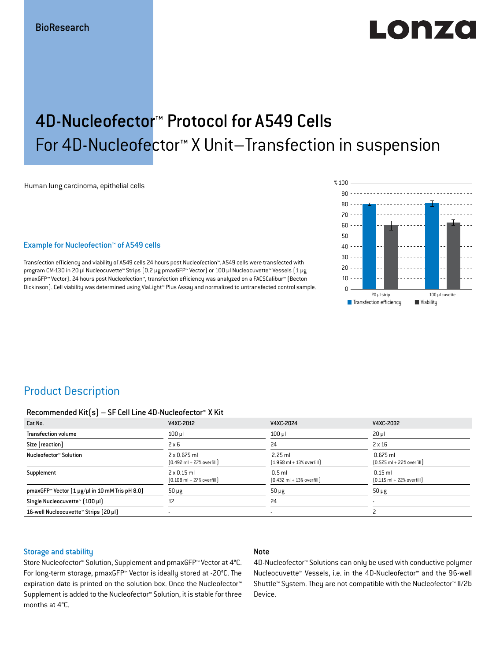# Lonzo

## 4D-Nucleofector™ Protocol for A549 Cells For 4D-Nucleofector™ X Unit–Transfection in suspension

Human lung carcinoma, epithelial cells

#### Example for Nucleofection™ of A549 cells

Transfection efficiency and viability of A549 cells 24 hours post Nucleofection™. A549 cells were transfected with program CM-130 in 20 μl Nucleocuvette™ Strips (0.2 μg pmaxGFP™ Vector) or 100 μl Nucleocuvette™ Vessels (1 μg pmaxGFP™ Vector). 24 hours post Nucleofection™, transfection efficiency was analyzed on a FACSCalibur™ (Becton Dickinson). Cell viability was determined using ViaLight™ Plus Assay and normalized to untransfected control sample.



## Product Description

#### Recommended Kit(s) – SF Cell Line 4D-Nucleofector™ X Kit

| Cat No.                                                    | V4XC-2012                                                           | V4XC-2024                                                 | V4XC-2032                                                  |
|------------------------------------------------------------|---------------------------------------------------------------------|-----------------------------------------------------------|------------------------------------------------------------|
| <b>Transfection volume</b>                                 | $100$ $\mu$                                                         | $100$ $\mu$                                               | $20 \mu$                                                   |
| Size [reaction]                                            | $2 \times 6$                                                        | 24                                                        | $2 \times 16$                                              |
| Nucleofector™ Solution                                     | $2 \times 0.675$ ml<br>$[0.492 \text{ ml} + 27\% \text{ overfill}]$ | $2.25$ ml<br>$[1.968 \text{ ml} + 13\% \text{ overfill}]$ | $0.675$ ml<br>$[0.525 \text{ ml} + 22\% \text{ overfill}]$ |
| Supplement                                                 | $2 \times 0.15$ ml<br>$[0.108 \text{ ml} + 27\% \text{ overfill}]$  | $0.5$ ml<br>$[0.432 \text{ ml} + 13\% \text{ overfill}]$  | $0.15$ ml<br>$[0.115 \text{ ml} + 22\% \text{ overfill}]$  |
| pmaxGFP <sup>™</sup> Vector [1 µg/µl in 10 mM Tris pH 8.0] | $50 \mu g$                                                          | $50 \mu g$                                                | $50 \mu g$                                                 |
| Single Nucleocuvette™ [100 µl]                             | 12                                                                  | 24                                                        |                                                            |
| 16-well Nucleocuvette™ Strips [20 µl]                      |                                                                     | $\overline{\phantom{a}}$                                  |                                                            |

#### Storage and stability

#### Note

Store Nucleofector™ Solution, Supplement and pmaxGFP™ Vector at 4°C. For long-term storage, pmaxGFP™ Vector is ideally stored at -20°C. The expiration date is printed on the solution box. Once the Nucleofector™ Supplement is added to the Nucleofector™ Solution, it is stable for three months at 4°C.

4D-Nucleofector™ Solutions can only be used with conductive polymer Nucleocuvette™ Vessels, i.e. in the 4D-Nucleofector™ and the 96-well Shuttle™ System. They are not compatible with the Nucleofector™ II/2b Device.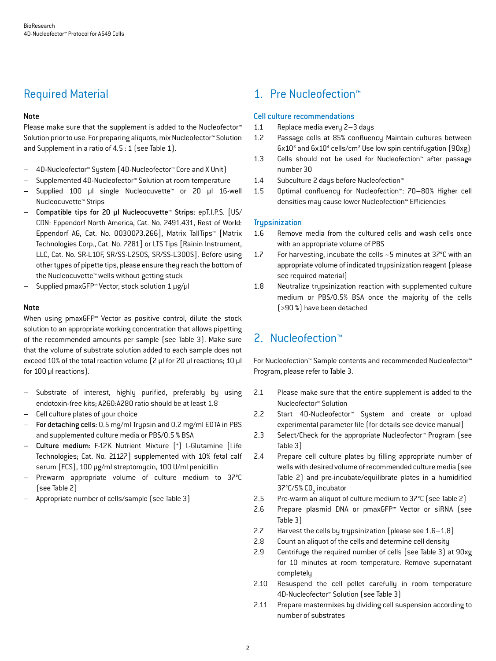## Required Material

#### Note

Please make sure that the supplement is added to the Nucleofector<sup>™</sup> Solution prior to use. For preparing aliquots, mix Nucleofector™ Solution and Supplement in a ratio of 4.5 : 1 (see Table 1).

- 4D-Nucleofector™ System (4D-Nucleofector™ Core and X Unit)
- Supplemented 4D-Nucleofector™ Solution at room temperature
- Supplied 100 µl single Nucleocuvette™ or 20 µl 16-well Nucleocuvette™ Strips
- Compatible tips for 20 µl Nucleocuvette™ Strips: epT.I.P.S. [US/ CDN: Eppendorf North America, Cat. No. 2491.431, Rest of World: Eppendorf AG, Cat. No. 0030073.266], Matrix TallTips™ [Matrix Technologies Corp., Cat. No. 7281] or LTS Tips [Rainin Instrument, LLC, Cat. No. SR-L10F, SR/SS-L250S, SR/SS-L300S]. Before using other types of pipette tips, please ensure they reach the bottom of the Nucleocuvette™ wells without getting stuck
- Supplied pmaxGFP™ Vector, stock solution 1 μg/μl

#### Note

When using pmaxGFP™ Vector as positive control, dilute the stock solution to an appropriate working concentration that allows pipetting of the recommended amounts per sample (see Table 3). Make sure that the volume of substrate solution added to each sample does not exceed 10% of the total reaction volume (2 μl for 20 μl reactions; 10 μl for 100 μl reactions).

- Substrate of interest, highly purified, preferably by using endotoxin-free kits; A260:A280 ratio should be at least 1.8
- Cell culture plates of your choice
- For detaching cells: 0.5 mg/ml Trypsin and 0.2 mg/ml EDTA in PBS and supplemented culture media or PBS/0.5 % BSA
- Culture medium: F-12K Nutrient Mixture (+ ) L-Glutamine [Life Technologies; Cat. No. 21127] supplemented with 10% fetal calf serum (FCS), 100 μg/ml streptomycin, 100 U/ml penicillin
- Prewarm appropriate volume of culture medium to 37°C (see Table 2)
- Appropriate number of cells/sample (see Table 3)

## 1. Pre Nucleofection™

#### Cell culture recommendations

- 1.1 Replace media every 2–3 days
- 1.2 Passage cells at 85% confluency Maintain cultures between  $6x10^3$  and  $6x10^4$  cells/cm<sup>2</sup> Use low spin centrifugation  $(90xg)$
- 1.3 Cells should not be used for Nucleofection™ after passage number 30
- 1.4 Subculture 2 days before Nucleofection™
- 1.5 Optimal confluency for Nucleofection™: 70–80% Higher cell densities may cause lower Nucleofection™ Efficiencies

#### **Trupsinization**

- 1.6 Remove media from the cultured cells and wash cells once with an appropriate volume of PBS
- 1.7 For harvesting, incubate the cells ~5 minutes at 37°C with an appropriate volume of indicated trypsinization reagent (please see required material)
- 1.8 Neutralize trypsinization reaction with supplemented culture medium or PBS/0.5% BSA once the majority of the cells (>90 %) have been detached

## 2. Nucleofection™

For Nucleofection™ Sample contents and recommended Nucleofector™ Program, please refer to Table 3.

- 2.1 Please make sure that the entire supplement is added to the Nucleofector™ Solution
- 2.2 Start 4D-Nucleofector™ System and create or upload experimental parameter file (for details see device manual)
- 2.3 Select/Check for the appropriate Nucleofector™ Program (see Table 3)
- 2.4 Prepare cell culture plates by filling appropriate number of wells with desired volume of recommended culture media (see Table 2) and pre-incubate/equilibrate plates in a humidified 37°C/5% CO<sub>2</sub> incubator
- 2.5 Pre-warm an aliquot of culture medium to 37°C (see Table 2)
- 2.6 Prepare plasmid DNA or pmaxGFP™ Vector or siRNA (see Table 3)
- 2.7 Harvest the cells by trypsinization (please see 1.6–1.8)
- 2.8 Count an aliquot of the cells and determine cell density
- 2.9 Centrifuge the required number of cells (see Table 3) at 90xg for 10 minutes at room temperature. Remove supernatant completely
- 2.10 Resuspend the cell pellet carefully in room temperature 4D-Nucleofector™ Solution (see Table 3)
- 2.11 Prepare mastermixes by dividing cell suspension according to number of substrates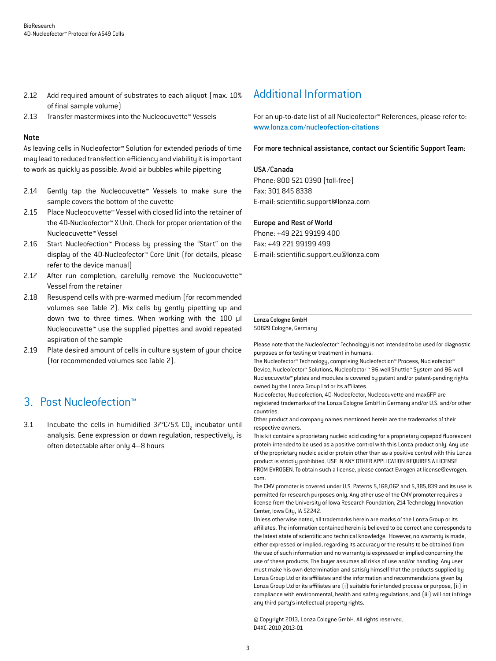- 2.12 Add required amount of substrates to each aliquot (max. 10%) of final sample volume)
- 2.13 Transfer mastermixes into the Nucleocuvette™ Vessels

#### Note

As leaving cells in Nucleofector™ Solution for extended periods of time may lead to reduced transfection efficiency and viability it is important to work as quickly as possible. Avoid air bubbles while pipetting

- 2.14 Gently tap the Nucleocuvette™ Vessels to make sure the sample covers the bottom of the cuvette
- 2.15 Place Nucleocuvette™ Vessel with closed lid into the retainer of the 4D-Nucleofector™ X Unit. Check for proper orientation of the Nucleocuvette™ Vessel
- 2.16 Start Nucleofection™ Process by pressing the "Start" on the display of the 4D-Nucleofector™ Core Unit (for details, please refer to the device manual)
- 2.17 After run completion, carefully remove the Nucleocuvette™ Vessel from the retainer
- 2.18 Resuspend cells with pre-warmed medium (for recommended volumes see Table 2). Mix cells by gently pipetting up and down two to three times. When working with the 100 µl Nucleocuvette™ use the supplied pipettes and avoid repeated aspiration of the sample
- 2.19 Plate desired amount of cells in culture system of your choice (for recommended volumes see Table 2).

## 3. Post Nucleofection™

3.1 Incubate the cells in humidified  $37^{\circ}$ C/5% CO<sub>2</sub> incubator until analysis. Gene expression or down regulation, respectively, is often detectable after only 4–8 hours

## Additional Information

For an up-to-date list of all Nucleofector™ References, please refer to: www.lonza.com/nucleofection-citations

For more technical assistance, contact our Scientific Support Team:

#### USA /Canada

Phone: 800 521 0390 (toll-free) Fax: 301 845 8338 E-mail: scientific.support@lonza.com

#### Europe and Rest of World

Phone: +49 221 99199 400 Fax: +49 221 99199 499 E-mail: scientific.support.eu@lonza.com

## Lonza Cologne GmbH

50829 Cologne, Germany

Please note that the Nucleofector™ Technology is not intended to be used for diagnostic purposes or for testing or treatment in humans.

The Nucleofector™ Technology, comprising Nucleofection™ Process, Nucleofector™ Device, Nucleofector™ Solutions, Nucleofector ™ 96-well Shuttle™ System and 96-well Nucleocuvette™ plates and modules is covered by patent and/or patent-pending rights owned by the Lonza Group Ltd or its affiliates.

Nucleofector, Nucleofection, 4D-Nucleofector, Nucleocuvette and maxGFP are registered trademarks of the Lonza Cologne GmbH in Germany and/or U.S. and/or other countries.

Other product and company names mentioned herein are the trademarks of their respective owners.

This kit contains a proprietary nucleic acid coding for a proprietary copepod fluorescent protein intended to be used as a positive control with this Lonza product only. Any use of the proprietary nucleic acid or protein other than as a positive control with this Lonza product is strictly prohibited. USE IN ANY OTHER APPLICATION REQUIRES A LICENSE FROM EVROGEN. To obtain such a license, please contact Evrogen at license@evrogen. com.

The CMV promoter is covered under U.S. Patents 5,168,062 and 5,385,839 and its use is permitted for research purposes only. Any other use of the CMV promoter requires a license from the University of Iowa Research Foundation, 214 Technology Innovation Center, Iowa City, IA 52242.

Unless otherwise noted, all trademarks herein are marks of the Lonza Group or its affiliates. The information contained herein is believed to be correct and corresponds to the latest state of scientific and technical knowledge. However, no warranty is made, either expressed or implied, regarding its accuracy or the results to be obtained from the use of such information and no warranty is expressed or implied concerning the use of these products. The buyer assumes all risks of use and/or handling. Any user must make his own determination and satisfy himself that the products supplied by Lonza Group Ltd or its affiliates and the information and recommendations given by Lonza Group Ltd or its affiliates are (i) suitable for intended process or purpose, (ii) in compliance with environmental, health and safety regulations, and (iii) will not infringe any third party's intellectual property rights.

© Copyright 2013, Lonza Cologne GmbH. All rights reserved. D4XC-2010\_2013-01